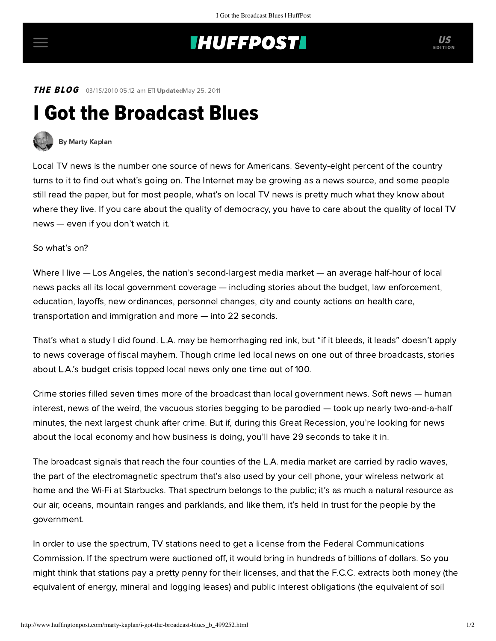## **INUFFPOST**

**THE BLOG** 03/15/2010 05:12 am ETI UpdatedMay 25, 2011

## I Got the Broadcast Blues



## [By Marty Kaplan](http://www.huffingtonpost.com/author/marty-kaplan)

Local TV news is the [number one source of news](http://www.fastcompany.com/1565877/pew-survey-finds-local-tv-news-more-popular-than-online-news-nations-tv-anchors-relieved) for Americans. Seventy-eight percent of the country turns to it to find out what's going on. The Internet may be growing as a news source, and some people still read the paper, but for most people, what's on local TV news is pretty much what they know about where they live. If you care about the quality of democracy, you have to care about the quality of local TV news — even if you don't watch it.

So what's on?

Where I live — Los Angeles, the nation's second-largest media market — an average half-hour of local news packs all its local government coverage — including stories about the budget, law enforcement, education, layoffs, new ordinances, personnel changes, city and county actions on health care, transportation and immigration and more — into 22 seconds.

That's what [a study I did](http://blog.learcenter.org/) found. L.A. may be hemorrhaging red ink, but "if it bleeds, it leads" doesn't apply to news coverage of fiscal mayhem. Though crime led local news on one out of three broadcasts, stories about L.A.'s budget crisis topped local news only one time out of 100.

Crime stories filled seven times more of the broadcast than local government news. Soft news — human interest, news of the weird, the vacuous stories [begging to be parodied](http://www.youtube.com/watch?v=9U4Ha9HQvMo) — took up nearly two-and-a-half minutes, the next largest chunk after crime. But if, during this Great Recession, you're looking for news about the local economy and how business is doing, you'll have 29 seconds to take it in.

The broadcast signals that reach the four counties of the L.A. media market are carried by radio waves, the part of the electromagnetic spectrum that's also used by your cell phone, your wireless network at home and the Wi-Fi at Starbucks. That spectrum belongs to the public; it's as much a natural resource as our air, oceans, mountain ranges and parklands, and like them, it's held in trust for the people by the government.

In order to use the spectrum, TV stations need to get a license from the Federal Communications Commission. If the spectrum were auctioned off, it would bring in hundreds of billions of dollars. So you might think that stations pay a pretty penny for their licenses, and that the F.C.C. extracts both money (the equivalent of energy, mineral and logging leases) and public interest obligations (the equivalent of soil